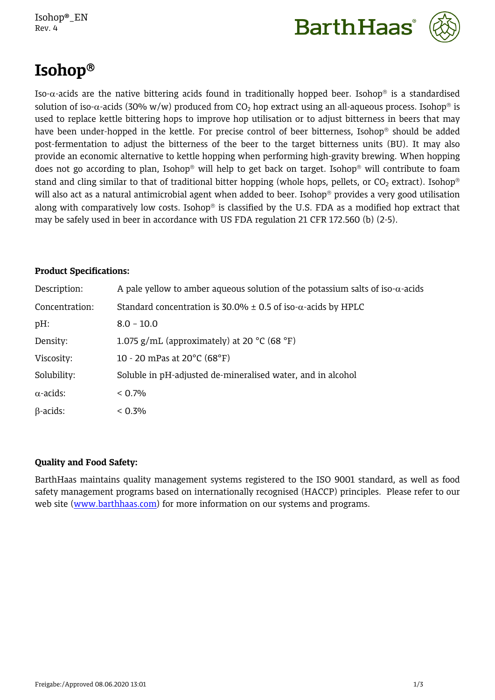Isohop®\_EN Rev. 4





# **Isohop**

Iso- $\alpha$ -acids are the native bittering acids found in traditionally hopped beer. Isohop<sup>®</sup> is a standardised solution of iso- $\alpha$ -acids (30% w/w) produced from CO<sub>2</sub> hop extract using an all-aqueous process. Isohop<sup>®</sup> is used to replace kettle bittering hops to improve hop utilisation or to adjust bitterness in beers that may have been under-hopped in the kettle. For precise control of beer bitterness, Isohop<sup>®</sup> should be added post-fermentation to adjust the bitterness of the beer to the target bitterness units (BU). It may also provide an economic alternative to kettle hopping when performing high-gravity brewing. When hopping does not go according to plan, Isohop<sup>®</sup> will help to get back on target. Isohop<sup>®</sup> will contribute to foam stand and cling similar to that of traditional bitter hopping (whole hops, pellets, or  $CO_2$  extract). Isohop<sup>®</sup> will also act as a natural antimicrobial agent when added to beer. Isohop<sup>®</sup> provides a very good utilisation along with comparatively low costs. Isohop<sup>®</sup> is classified by the U.S. FDA as a modified hop extract that may be safely used in beer in accordance with US FDA regulation 21 CFR 172.560 (b) (2-5).

## **Product Specifications:**

| Description:     | A pale yellow to amber aqueous solution of the potassium salts of iso- $\alpha$ -acids |
|------------------|----------------------------------------------------------------------------------------|
| Concentration:   | Standard concentration is 30.0% $\pm$ 0.5 of iso- $\alpha$ -acids by HPLC              |
| $pH$ :           | $8.0 - 10.0$                                                                           |
| Density:         | 1.075 g/mL (approximately) at 20 $^{\circ}$ C (68 $^{\circ}$ F)                        |
| Viscosity:       | 10 - 20 mPas at $20^{\circ}$ C (68 $^{\circ}$ F)                                       |
| Solubility:      | Soluble in pH-adjusted de-mineralised water, and in alcohol                            |
| $\alpha$ -acids: | $< 0.7\%$                                                                              |
| $\beta$ -acids:  | $< 0.3\%$                                                                              |

# **Quality and Food Safety:**

BarthHaas maintains quality management systems registered to the ISO 9001 standard, as well as food safety management programs based on internationally recognised (HACCP) principles. Please refer to our web site ([www.barthhaas.com](http://www.barthhaas.com/)) for more information on our systems and programs.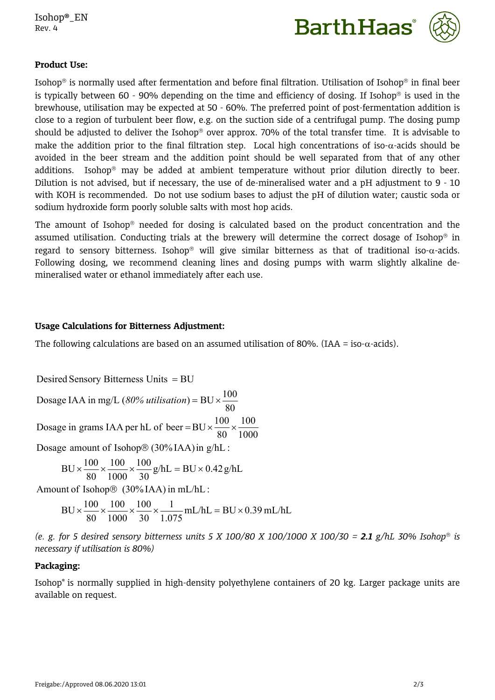



## **Product Use:**

Isohop<sup>®</sup> is normally used after fermentation and before final filtration. Utilisation of Isohop<sup>®</sup> in final beer is typically between 60 - 90% depending on the time and efficiency of dosing. If Isohop<sup>®</sup> is used in the brewhouse, utilisation may be expected at 50 - 60%. The preferred point of post-fermentation addition is close to a region of turbulent beer flow, e.g. on the suction side of a centrifugal pump. The dosing pump should be adjusted to deliver the Isohop<sup>®</sup> over approx. 70% of the total transfer time. It is advisable to make the addition prior to the final filtration step. Local high concentrations of iso- $\alpha$ -acids should be avoided in the beer stream and the addition point should be well separated from that of any other additions. Isohop<sup>®</sup> may be added at ambient temperature without prior dilution directly to beer. Dilution is not advised, but if necessary, the use of de-mineralised water and a pH adjustment to 9 - 10 with KOH is recommended. Do not use sodium bases to adjust the pH of dilution water; caustic soda or sodium hydroxide form poorly soluble salts with most hop acids.

The amount of Isohop<sup>®</sup> needed for dosing is calculated based on the product concentration and the assumed utilisation. Conducting trials at the brewery will determine the correct dosage of Isohop<sup>®</sup> in regard to sensory bitterness. Isohop<sup>®</sup> will give similar bitterness as that of traditional iso- $\alpha$ -acids. Following dosing, we recommend cleaning lines and dosing pumps with warm slightly alkaline demineralised water or ethanol immediately after each use.

## **Usage Calculations for Bitterness Adjustment:**

The following calculations are based on an assumed utilisation of 80%. (IAA = iso- $\alpha$ -acids).

 $Desired$  Sensory Bitterness Units  $=BU$ 

1000 100 80 1000 and the state of the state of the state of the state of the state of the state of the state of the state of the state of the state of the state of the state of the state of the state of the state of the state of th Dosage in grams IAA per hL of beer =  $BU \times \frac{100}{200} \times \frac{100}{1000}$ 80 Dosage IAA in mg/L (80% *utilisation*) = BU  $\times \frac{100}{20}$ 

Dosage amount of Isohop $\mathcal{O}(30\%$ IAA) in g/hL :

$$
BU \times \frac{100}{80} \times \frac{100}{1000} \times \frac{100}{30} g/hL = BU \times 0.42 g/hL
$$

Amount of Isohop $\circledR$  (30%IAA) in mL/hL :

$$
BU \times \frac{100}{80} \times \frac{100}{1000} \times \frac{100}{30} \times \frac{1}{1.075} \text{ mL/hL} = BU \times 0.39 \text{ mL/hL}
$$

*(e. g. for 5 desired sensory bitterness units 5 X 100/80 X 100/1000 X 100/30 = 2.1 g/hL 30% Isohop is necessary if utilisation is 80%)*

## **Packaging:**

Isohop® is normally supplied in high-density polyethylene containers of 20 kg. Larger package units are available on request.